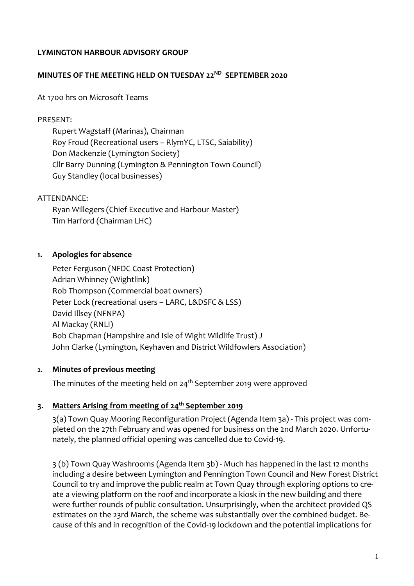## **LYMINGTON HARBOUR ADVISORY GROUP**

## **MINUTES OF THE MEETING HELD ON TUESDAY 22ND SEPTEMBER 2020**

At 1700 hrs on Microsoft Teams

## PRESENT:

Rupert Wagstaff (Marinas), Chairman Roy Froud (Recreational users – RlymYC, LTSC, Saiability) Don Mackenzie (Lymington Society) Cllr Barry Dunning (Lymington & Pennington Town Council) Guy Standley (local businesses)

## ATTENDANCE:

Ryan Willegers (Chief Executive and Harbour Master) Tim Harford (Chairman LHC)

## **1. Apologies for absence**

Peter Ferguson (NFDC Coast Protection) Adrian Whinney (Wightlink) Rob Thompson (Commercial boat owners) Peter Lock (recreational users – LARC, L&DSFC & LSS) David Illsey (NFNPA) Al Mackay (RNLI) Bob Chapman (Hampshire and Isle of Wight Wildlife Trust) J John Clarke (Lymington, Keyhaven and District Wildfowlers Association)

## **2. Minutes of previous meeting**

The minutes of the meeting held on  $24<sup>th</sup>$  September 2019 were approved

## **3. Matters Arising from meeting of 24th September 2019**

3(a) Town Quay Mooring Reconfiguration Project (Agenda Item 3a) - This project was completed on the 27th February and was opened for business on the 2nd March 2020. Unfortunately, the planned official opening was cancelled due to Covid-19.

3 (b) Town Quay Washrooms (Agenda Item 3b) - Much has happened in the last 12 months including a desire between Lymington and Pennington Town Council and New Forest District Council to try and improve the public realm at Town Quay through exploring options to create a viewing platform on the roof and incorporate a kiosk in the new building and there were further rounds of public consultation. Unsurprisingly, when the architect provided QS estimates on the 23rd March, the scheme was substantially over the combined budget. Because of this and in recognition of the Covid-19 lockdown and the potential implications for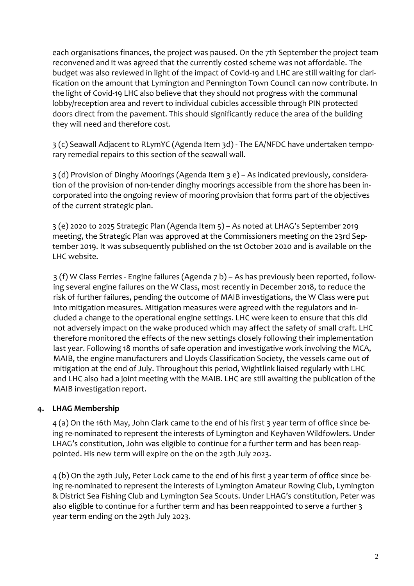each organisations finances, the project was paused. On the 7th September the project team reconvened and it was agreed that the currently costed scheme was not affordable. The budget was also reviewed in light of the impact of Covid-19 and LHC are still waiting for clarification on the amount that Lymington and Pennington Town Council can now contribute. In the light of Covid-19 LHC also believe that they should not progress with the communal lobby/reception area and revert to individual cubicles accessible through PIN protected doors direct from the pavement. This should significantly reduce the area of the building they will need and therefore cost.

3 (c) Seawall Adjacent to RLymYC (Agenda Item 3d) - The EA/NFDC have undertaken temporary remedial repairs to this section of the seawall wall.

3 (d) Provision of Dinghy Moorings (Agenda Item 3 e) – As indicated previously, consideration of the provision of non-tender dinghy moorings accessible from the shore has been incorporated into the ongoing review of mooring provision that forms part of the objectives of the current strategic plan.

3 (e) 2020 to 2025 Strategic Plan (Agenda Item 5) – As noted at LHAG's September 2019 meeting, the Strategic Plan was approved at the Commissioners meeting on the 23rd September 2019. It was subsequently published on the 1st October 2020 and is available on the LHC website.

3 (f) W Class Ferries - Engine failures (Agenda 7 b) – As has previously been reported, following several engine failures on the W Class, most recently in December 2018, to reduce the risk of further failures, pending the outcome of MAIB investigations, the W Class were put into mitigation measures. Mitigation measures were agreed with the regulators and included a change to the operational engine settings. LHC were keen to ensure that this did not adversely impact on the wake produced which may affect the safety of small craft. LHC therefore monitored the effects of the new settings closely following their implementation last year. Following 18 months of safe operation and investigative work involving the MCA, MAIB, the engine manufacturers and Lloyds Classification Society, the vessels came out of mitigation at the end of July. Throughout this period, Wightlink liaised regularly with LHC and LHC also had a joint meeting with the MAIB. LHC are still awaiting the publication of the MAIB investigation report.

## **4. LHAG Membership**

4 (a) On the 16th May, John Clark came to the end of his first 3 year term of office since being re-nominated to represent the interests of Lymington and Keyhaven Wildfowlers. Under LHAG's constitution, John was eligible to continue for a further term and has been reappointed. His new term will expire on the on the 29th July 2023.

4 (b) On the 29th July, Peter Lock came to the end of his first 3 year term of office since being re-nominated to represent the interests of Lymington Amateur Rowing Club, Lymington & District Sea Fishing Club and Lymington Sea Scouts. Under LHAG's constitution, Peter was also eligible to continue for a further term and has been reappointed to serve a further 3 year term ending on the 29th July 2023.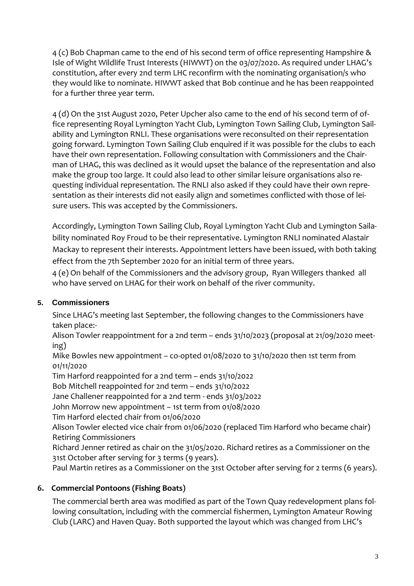4 (c) Bob Chapman came to the end of his second term of office representing Hampshire & Isle of Wight Wildlife Trust Interests (HIWWT) on the 03/07/2020. As required under LHAG's constitution, after every 2nd term LHC reconfirm with the nominating organisation/s who they would like to nominate. HIWWT asked that Bob continue and he has been reappointed for a further three year term.

4 (d) On the 31st August 2020, Peter Upcher also came to the end of his second term of office representing Royal Lymington Yacht Club, Lymington Town Sailing Club, Lymington Sailability and Lymington RNLI. These organisations were reconsulted on their representation going forward. Lymington Town Sailing Club enquired if it was possible for the clubs to each have their own representation. Following consultation with Commissioners and the Chairman of LHAG, this was declined as it would upset the balance of the representation and also make the group too large. It could also lead to other similar leisure organisations also requesting individual representation. The RNLI also asked if they could have their own representation as their interests did not easily align and sometimes conflicted with those of leisure users. This was accepted by the Commissioners.

Accordingly, Lymington Town Sailing Club, Royal Lymington Yacht Club and Lymington Sailability nominated Roy Froud to be their representative. Lymington RNLI nominated Alastair Mackay to represent their interests. Appointment letters have been issued, with both taking effect from the 7th September 2020 for an initial term of three years.

4 (e) On behalf of the Commissioners and the advisory group, Ryan Willegers thanked all who have served on LHAG for their work on behalf of the river community.

# **5. Commissioners**

Since LHAG's meeting last September, the following changes to the Commissioners have taken place:-

Alison Towler reappointment for a 2nd term – ends 31/10/2023 (proposal at 21/09/2020 meeting)

Mike Bowles new appointment – co-opted 01/08/2020 to 31/10/2020 then 1st term from 01/11/2020

Tim Harford reappointed for a 2nd term – ends 31/10/2022

Bob Mitchell reappointed for 2nd term – ends 31/10/2022

Jane Challener reappointed for a 2nd term - ends 31/03/2022

John Morrow new appointment – 1st term from 01/08/2020

Tim Harford elected chair from 01/06/2020

Alison Towler elected vice chair from 01/06/2020 (replaced Tim Harford who became chair) Retiring Commissioners

Richard Jenner retired as chair on the 31/05/2020. Richard retires as a Commissioner on the 31st October after serving for 3 terms (9 years).

Paul Martin retires as a Commissioner on the 31st October after serving for 2 terms (6 years).

# **6. Commercial Pontoons (Fishing Boats)**

The commercial berth area was modified as part of the Town Quay redevelopment plans following consultation, including with the commercial fishermen, Lymington Amateur Rowing Club (LARC) and Haven Quay. Both supported the layout which was changed from LHC's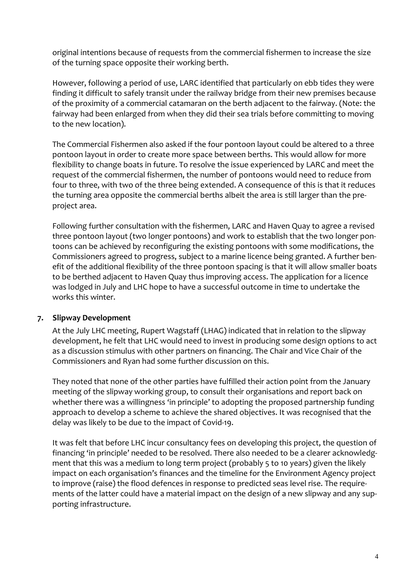original intentions because of requests from the commercial fishermen to increase the size of the turning space opposite their working berth.

However, following a period of use, LARC identified that particularly on ebb tides they were finding it difficult to safely transit under the railway bridge from their new premises because of the proximity of a commercial catamaran on the berth adjacent to the fairway. (Note: the fairway had been enlarged from when they did their sea trials before committing to moving to the new location).

The Commercial Fishermen also asked if the four pontoon layout could be altered to a three pontoon layout in order to create more space between berths. This would allow for more flexibility to change boats in future. To resolve the issue experienced by LARC and meet the request of the commercial fishermen, the number of pontoons would need to reduce from four to three, with two of the three being extended. A consequence of this is that it reduces the turning area opposite the commercial berths albeit the area is still larger than the preproject area.

Following further consultation with the fishermen, LARC and Haven Quay to agree a revised three pontoon layout (two longer pontoons) and work to establish that the two longer pontoons can be achieved by reconfiguring the existing pontoons with some modifications, the Commissioners agreed to progress, subject to a marine licence being granted. A further benefit of the additional flexibility of the three pontoon spacing is that it will allow smaller boats to be berthed adjacent to Haven Quay thus improving access. The application for a licence was lodged in July and LHC hope to have a successful outcome in time to undertake the works this winter.

## **7. Slipway Development**

At the July LHC meeting, Rupert Wagstaff (LHAG) indicated that in relation to the slipway development, he felt that LHC would need to invest in producing some design options to act as a discussion stimulus with other partners on financing. The Chair and Vice Chair of the Commissioners and Ryan had some further discussion on this.

They noted that none of the other parties have fulfilled their action point from the January meeting of the slipway working group, to consult their organisations and report back on whether there was a willingness 'in principle' to adopting the proposed partnership funding approach to develop a scheme to achieve the shared objectives. It was recognised that the delay was likely to be due to the impact of Covid-19.

It was felt that before LHC incur consultancy fees on developing this project, the question of financing 'in principle' needed to be resolved. There also needed to be a clearer acknowledgment that this was a medium to long term project (probably 5 to 10 years) given the likely impact on each organisation's finances and the timeline for the Environment Agency project to improve (raise) the flood defences in response to predicted seas level rise. The requirements of the latter could have a material impact on the design of a new slipway and any supporting infrastructure.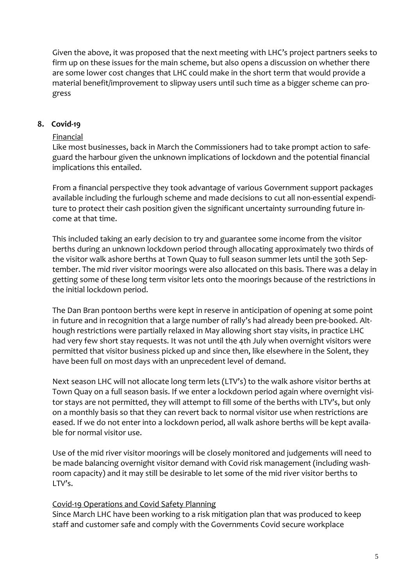Given the above, it was proposed that the next meeting with LHC's project partners seeks to firm up on these issues for the main scheme, but also opens a discussion on whether there are some lower cost changes that LHC could make in the short term that would provide a material benefit/improvement to slipway users until such time as a bigger scheme can progress

## **8. Covid-19**

#### **Financial**

Like most businesses, back in March the Commissioners had to take prompt action to safeguard the harbour given the unknown implications of lockdown and the potential financial implications this entailed.

From a financial perspective they took advantage of various Government support packages available including the furlough scheme and made decisions to cut all non-essential expenditure to protect their cash position given the significant uncertainty surrounding future income at that time.

This included taking an early decision to try and guarantee some income from the visitor berths during an unknown lockdown period through allocating approximately two thirds of the visitor walk ashore berths at Town Quay to full season summer lets until the 30th September. The mid river visitor moorings were also allocated on this basis. There was a delay in getting some of these long term visitor lets onto the moorings because of the restrictions in the initial lockdown period.

The Dan Bran pontoon berths were kept in reserve in anticipation of opening at some point in future and in recognition that a large number of rally's had already been pre-booked. Although restrictions were partially relaxed in May allowing short stay visits, in practice LHC had very few short stay requests. It was not until the 4th July when overnight visitors were permitted that visitor business picked up and since then, like elsewhere in the Solent, they have been full on most days with an unprecedent level of demand.

Next season LHC will not allocate long term lets (LTV's) to the walk ashore visitor berths at Town Quay on a full season basis. If we enter a lockdown period again where overnight visitor stays are not permitted, they will attempt to fill some of the berths with LTV's, but only on a monthly basis so that they can revert back to normal visitor use when restrictions are eased. If we do not enter into a lockdown period, all walk ashore berths will be kept available for normal visitor use.

Use of the mid river visitor moorings will be closely monitored and judgements will need to be made balancing overnight visitor demand with Covid risk management (including washroom capacity) and it may still be desirable to let some of the mid river visitor berths to LTV's.

## Covid-19 Operations and Covid Safety Planning

Since March LHC have been working to a risk mitigation plan that was produced to keep staff and customer safe and comply with the Governments Covid secure workplace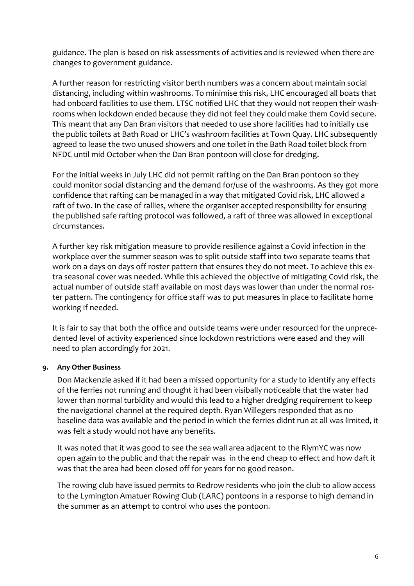guidance. The plan is based on risk assessments of activities and is reviewed when there are changes to government guidance.

A further reason for restricting visitor berth numbers was a concern about maintain social distancing, including within washrooms. To minimise this risk, LHC encouraged all boats that had onboard facilities to use them. LTSC notified LHC that they would not reopen their washrooms when lockdown ended because they did not feel they could make them Covid secure. This meant that any Dan Bran visitors that needed to use shore facilities had to initially use the public toilets at Bath Road or LHC's washroom facilities at Town Quay. LHC subsequently agreed to lease the two unused showers and one toilet in the Bath Road toilet block from NFDC until mid October when the Dan Bran pontoon will close for dredging.

For the initial weeks in July LHC did not permit rafting on the Dan Bran pontoon so they could monitor social distancing and the demand for/use of the washrooms. As they got more confidence that rafting can be managed in a way that mitigated Covid risk, LHC allowed a raft of two. In the case of rallies, where the organiser accepted responsibility for ensuring the published safe rafting protocol was followed, a raft of three was allowed in exceptional circumstances.

A further key risk mitigation measure to provide resilience against a Covid infection in the workplace over the summer season was to split outside staff into two separate teams that work on a days on days off roster pattern that ensures they do not meet. To achieve this extra seasonal cover was needed. While this achieved the objective of mitigating Covid risk, the actual number of outside staff available on most days was lower than under the normal roster pattern. The contingency for office staff was to put measures in place to facilitate home working if needed.

It is fair to say that both the office and outside teams were under resourced for the unprecedented level of activity experienced since lockdown restrictions were eased and they will need to plan accordingly for 2021.

## **9. Any Other Business**

Don Mackenzie asked if it had been a missed opportunity for a study to identify any effects of the ferries not running and thought it had been visibally noticeable that the water had lower than normal turbidity and would this lead to a higher dredging requirement to keep the navigational channel at the required depth. Ryan Willegers responded that as no baseline data was available and the period in which the ferries didnt run at all was limited, it was felt a study would not have any benefits.

It was noted that it was good to see the sea wall area adjacent to the RlymYC was now open again to the public and that the repair was in the end cheap to effect and how daft it was that the area had been closed off for years for no good reason.

The rowing club have issued permits to Redrow residents who join the club to allow access to the Lymington Amatuer Rowing Club (LARC) pontoons in a response to high demand in the summer as an attempt to control who uses the pontoon.